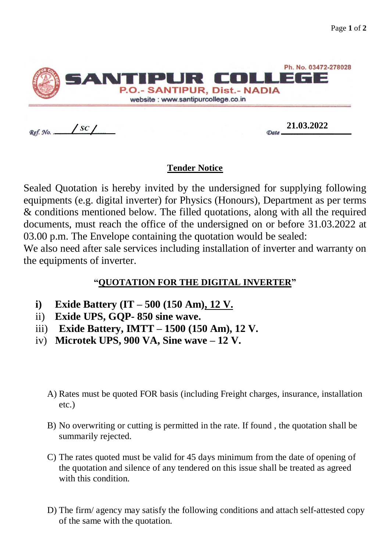|          | SANTIPUR COLLEGE<br>P.O.- SANTIPUR, Dist.- NADIA<br>website: www.santipurcollege.co.in | Ph. No. 03472-278028 |
|----------|----------------------------------------------------------------------------------------|----------------------|
| Ref. No. | SC                                                                                     | 21.03.2022           |

## **Tender Notice**

Sealed Quotation is hereby invited by the undersigned for supplying following equipments (e.g. digital inverter) for Physics (Honours), Department as per terms & conditions mentioned below. The filled quotations, along with all the required documents, must reach the office of the undersigned on or before 31.03.2022 at 03.00 p.m. The Envelope containing the quotation would be sealed:

We also need after sale services including installation of inverter and warranty on the equipments of inverter.

## **"QUOTATION FOR THE DIGITAL INVERTER"**

- **i) Exide Battery (IT – 500 (150 Am), 12 V.**
- ii) **Exide UPS, GQP- 850 sine wave.**
- iii) **Exide Battery, IMTT – 1500 (150 Am), 12 V.**
- iv) **Microtek UPS, 900 VA, Sine wave – 12 V.**
	- A) Rates must be quoted FOR basis (including Freight charges, insurance, installation etc.)
	- B) No overwriting or cutting is permitted in the rate. If found , the quotation shall be summarily rejected.
	- C) The rates quoted must be valid for 45 days minimum from the date of opening of the quotation and silence of any tendered on this issue shall be treated as agreed with this condition.
	- D) The firm/ agency may satisfy the following conditions and attach self-attested copy of the same with the quotation.